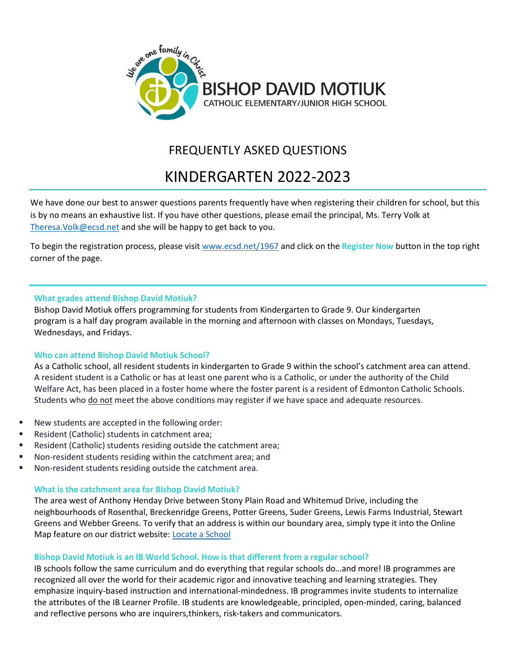

# FREQUENTLY ASKED QUESTIONS

# KINDERGARTEN 2022-2023

We have done our best to answer questions parents frequently have when registering their children for school, but this is by no means an exhaustive list. If you have other questions, please email the principal, Ms. Terry Volk at [Theresa.Volk@ecsd.net](mailto:Theresa.Volk@ecsd.net) and she will be happy to get back to you.

To begin the registration process, please visit [www.ecsd.net/1967](http://www.ecsd.net/1967) and click on the **Register Now** button in the top right corner of the page.

# **What grades attend Bishop David Motiuk?**

Bishop David Motiuk offers programming for students from Kindergarten to Grade 9. Our kindergarten program is a half day program available in the morning and afternoon with classes on Mondays, Tuesdays, Wednesdays, and Fridays.

# **Who can attend Bishop David Motiuk School?**

As a Catholic school, all resident students in kindergarten to Grade 9 within the school's catchment area can attend. A resident student is a Catholic or has at least one parent who is a Catholic, or under the authority of the Child Welfare Act, has been placed in a foster home where the foster parent is a resident of Edmonton Catholic Schools. Students who do not meet the above conditions may register if we have space and adequate resources.

- New students are accepted in the following order:
- Resident (Catholic) students in catchment area;
- Resident (Catholic) students residing outside the catchment area;
- Non-resident students residing within the catchment area; and
- Non-resident students residing outside the catchment area.

#### **What is the catchment area for Bishop David Motiuk?**

The area west of Anthony Henday Drive between Stony Plain Road and Whitemud Drive, including the neighbourhoods of Rosenthal, Breckenridge Greens, Potter Greens, Suder Greens, Lewis Farms Industrial, Stewart Greens and Webber Greens. To verify that an address is within our boundary area, simply type it into the Online Map feature on our district website: Locate [a School](https://schoolmap.ecsd.net/NextYear.html)

# **Bishop David Motiuk is an IB World School. How is that different from a regular school?**

IB schools follow the same curriculum and do everything that regular schools do…and more! IB programmes are recognized all over the world for their academic rigor and innovative teaching and learning strategies. They emphasize inquiry-based instruction and international-mindedness. IB programmes invite students to internalize the attributes of the IB Learner Profile. IB students are knowledgeable, principled, open-minded, caring, balanced and reflective persons who are inquirers,thinkers, risk-takers and communicators.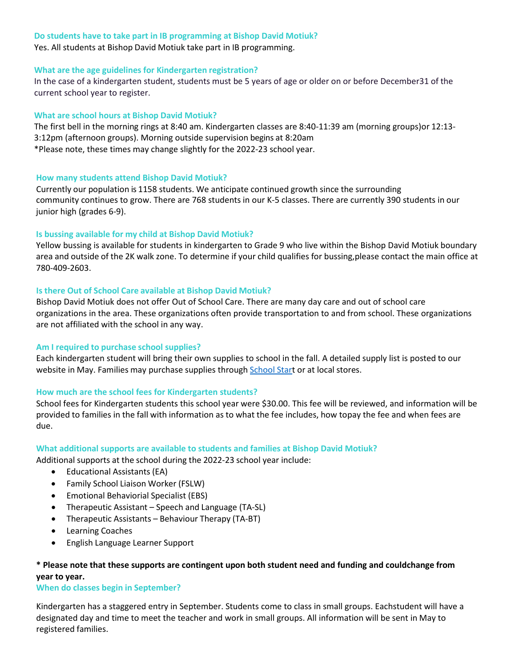#### **Do students have to take part in IB programming at Bishop David Motiuk?**

Yes. All students at Bishop David Motiuk take part in IB programming.

# **What are the age guidelines for Kindergarten registration?**

In the case of a kindergarten student, students must be 5 years of age or older on or before December31 of the current school year to register.

# **What are school hours at Bishop David Motiuk?**

The first bell in the morning rings at 8:40 am. Kindergarten classes are 8:40-11:39 am (morning groups)or 12:13- 3:12pm (afternoon groups). Morning outside supervision begins at 8:20am \*Please note, these times may change slightly for the 2022-23 school year.

# **How many students attend Bishop David Motiuk?**

Currently our population is 1158 students. We anticipate continued growth since the surrounding community continues to grow. There are 768 students in our K-5 classes. There are currently 390 students in our junior high (grades 6-9).

# **Is bussing available for my child at Bishop David Motiuk?**

Yellow bussing is available for students in kindergarten to Grade 9 who live within the Bishop David Motiuk boundary area and outside of the 2K walk zone. To determine if your child qualifies for bussing,please contact the main office at 780-409-2603.

# **Is there Out of School Care available at Bishop David Motiuk?**

Bishop David Motiuk does not offer Out of School Care. There are many day care and out of school care organizations in the area. These organizations often provide transportation to and from school. These organizations are not affiliated with the school in any way.

# **Am I required to purchase school supplies?**

Each kindergarten student will bring their own supplies to school in the fall. A detailed supply list is posted to our website in May. Families may purchase supplies through [School](http://www.schoolstart.ca/) Start or at local stores.

# **How much are the school fees for Kindergarten students?**

School fees for Kindergarten students this school year were \$30.00. This fee will be reviewed, and information will be provided to families in the fall with information as to what the fee includes, how topay the fee and when fees are due.

#### **What additional supports are available to students and families at Bishop David Motiuk?**

Additional supports at the school during the 2022-23 school year include:

- Educational Assistants (EA)
- Family School Liaison Worker (FSLW)
- Emotional Behaviorial Specialist (EBS)
- Therapeutic Assistant Speech and Language (TA-SL)
- Therapeutic Assistants Behaviour Therapy (TA-BT)
- Learning Coaches
- English Language Learner Support

# **\* Please note that these supports are contingent upon both student need and funding and couldchange from year to year.**

#### **When do classes begin in September?**

Kindergarten has a staggered entry in September. Students come to class in small groups. Eachstudent will have a designated day and time to meet the teacher and work in small groups. All information will be sent in May to registered families.